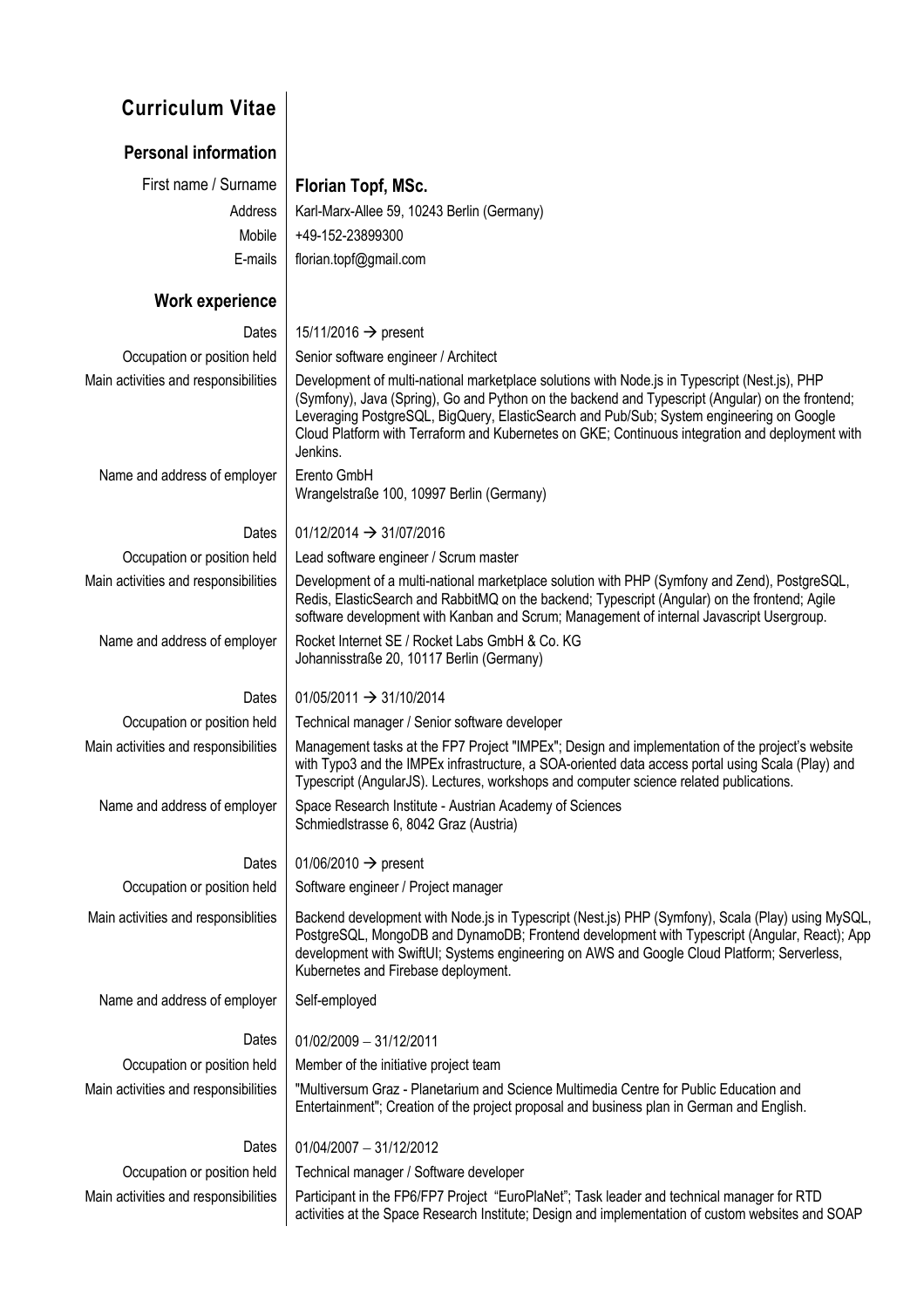# **Curriculum Vitae**

| <b>Personal information</b>          |                                                                                                                                                                                                                                                                                                                                                                                                              |
|--------------------------------------|--------------------------------------------------------------------------------------------------------------------------------------------------------------------------------------------------------------------------------------------------------------------------------------------------------------------------------------------------------------------------------------------------------------|
| First name / Surname                 | Florian Topf, MSc.                                                                                                                                                                                                                                                                                                                                                                                           |
| Address                              | Karl-Marx-Allee 59, 10243 Berlin (Germany)                                                                                                                                                                                                                                                                                                                                                                   |
| Mobile                               | +49-152-23899300                                                                                                                                                                                                                                                                                                                                                                                             |
| E-mails                              | florian.topf@gmail.com                                                                                                                                                                                                                                                                                                                                                                                       |
| Work experience                      |                                                                                                                                                                                                                                                                                                                                                                                                              |
| Dates                                | 15/11/2016 $\rightarrow$ present                                                                                                                                                                                                                                                                                                                                                                             |
| Occupation or position held          | Senior software engineer / Architect                                                                                                                                                                                                                                                                                                                                                                         |
| Main activities and responsibilities | Development of multi-national marketplace solutions with Node.js in Typescript (Nest.js), PHP<br>(Symfony), Java (Spring), Go and Python on the backend and Typescript (Angular) on the frontend;<br>Leveraging PostgreSQL, BigQuery, ElasticSearch and Pub/Sub; System engineering on Google<br>Cloud Platform with Terraform and Kubernetes on GKE; Continuous integration and deployment with<br>Jenkins. |
| Name and address of employer         | Erento GmbH<br>Wrangelstraße 100, 10997 Berlin (Germany)                                                                                                                                                                                                                                                                                                                                                     |
| <b>Dates</b>                         | $01/12/2014 \rightarrow 31/07/2016$                                                                                                                                                                                                                                                                                                                                                                          |
| Occupation or position held          | Lead software engineer / Scrum master                                                                                                                                                                                                                                                                                                                                                                        |
| Main activities and responsibilities | Development of a multi-national marketplace solution with PHP (Symfony and Zend), PostgreSQL,<br>Redis, ElasticSearch and RabbitMQ on the backend; Typescript (Angular) on the frontend; Agile<br>software development with Kanban and Scrum; Management of internal Javascript Usergroup.                                                                                                                   |
| Name and address of employer         | Rocket Internet SE / Rocket Labs GmbH & Co. KG<br>Johannisstraße 20, 10117 Berlin (Germany)                                                                                                                                                                                                                                                                                                                  |
| Dates                                | $01/05/2011 \rightarrow 31/10/2014$                                                                                                                                                                                                                                                                                                                                                                          |

Occupation or position held Technical manager / Senior software developer

Main activities and responsibilities | Management tasks at the FP7 Project "IMPEx"; Design and implementation of the project's website with Typo3 and the IMPEx infrastructure, a SOA-oriented data access portal using Scala (Play) and Typescript (AngularJS). Lectures, workshops and computer science related publications.

Name and address of employer | Space Research Institute - Austrian Academy of Sciences Schmiedlstrasse 6, 8042 Graz (Austria)

### Dates  $\vert$  01/06/2010  $\rightarrow$  present

Occupation or position held | Software engineer / Project manager

Main activities and responsiblities | Backend development with Node.js in Typescript (Nest.js) PHP (Symfony), Scala (Play) using MySQL, PostgreSQL, MongoDB and DynamoDB; Frontend development with Typescript (Angular, React); App development with SwiftUI; Systems engineering on AWS and Google Cloud Platform; Serverless, Kubernetes and Firebase deployment.

Name and address of employer | Self-employed

Occupation or position held  $\parallel$  Member of the initiative project team

Dates  $\vert 01/02/2009 - 31/12/2011 \vert$ 

Main activities and responsibilities | "Multiversum Graz - Planetarium and Science Multimedia Centre for Public Education and Entertainment"; Creation of the project proposal and business plan in German and English.

## Dates  $\begin{bmatrix} 01/04/2007 - 31/12/2012 \end{bmatrix}$

Occupation or position held Technical manager / Software developer

Main activities and responsibilities | Participant in the FP6/FP7 Project "EuroPlaNet"; Task leader and technical manager for RTD activities at the Space Research Institute; Design and implementation of custom websites and SOAP